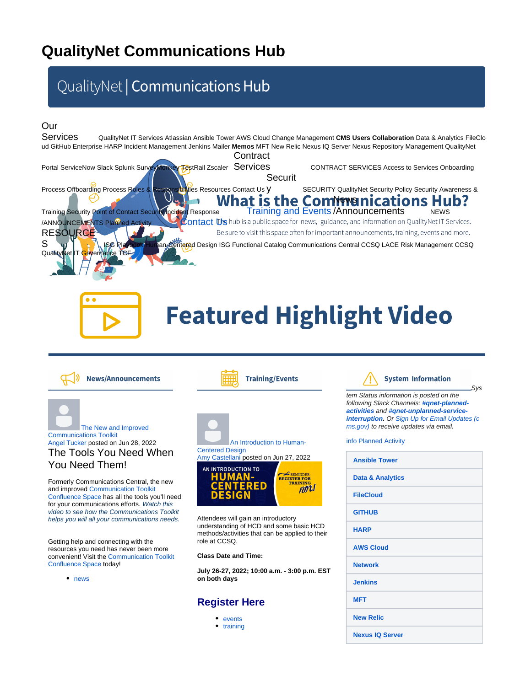## **QualityNet Communications Hub**

## QualityNet | Communications Hub

### Our

Services QualityNet IT Services Atlassian Ansible Tower AWS Cloud Change Management CMS Users Collaboration Data & Analytics FileClo ud GitHub Enterprise HARP Incident Management Jenkins Mailer **Memos** MFT New Relic Nexus IQ Server Nexus Repository Management QualityNet **Contract** Portal ServiceNow Slack Splunk SurveyMonkey TestRail Zscaler ServiceS CONTRACT SERVICES Access to Services Onboarding Securit Process Offboarding Process Roles & Responsibilities Resources Contact Us Y SECURITY QualityNet Security Policy Security Awareness & What is the Commmunications Hub? Training and Events / Announcements NEWS Training Security Point of Contact Security Incident Response /ANNOUNCEMENTS Planned Activity [Contact Us](https://qnetconfluence.cms.gov/display/HUB/Contact+Us) hub is a public space for news, guidance, and information on QualityNet IT Services. **RESOURCE** Be sure to visit this space often for important announcements, training, events and more. S ISG Playbook Human-Centered Design ISG Functional Catalog Communications Central CCSQ LACE Risk Management CCSQ Quality



# **Featured Highlight Video**



[The New and Improved](https://qnetconfluence.cms.gov/display/HUB/2022/06/28/The+New+and+Improved+Communications+Toolkit)  [Communications Toolkit](https://qnetconfluence.cms.gov/display/HUB/2022/06/28/The+New+and+Improved+Communications+Toolkit) Angel Tucker posted on Jun 28, 2022 The Tools You Need When You Need Them!

Formerly Communications Central, the new and improved [Communication Toolkit](https://qnetconfluence.cms.gov/display/HComms/Communications+Toolkit)  [Confluence Space](https://qnetconfluence.cms.gov/display/HComms/Communications+Toolkit) has all the tools you'll need for your communications efforts. Watch this video to see how the Communications Toolkit helps you will all your communications needs.

Getting help and connecting with the resources you need has never been more convenient! Visit the [Communication Toolkit](https://qnetconfluence.cms.gov/display/HComms/Communications+Toolkit)  [Confluence Space](https://qnetconfluence.cms.gov/display/HComms/Communications+Toolkit) today!

• [news](https://qnetconfluence.cms.gov/label/HUB/news)





Attendees will gain an introductory understanding of HCD and some basic HCD methods/activities that can be applied to their role at CCSQ.

**Class Date and Time:**

**July 26-27, 2022; 10:00 a.m. - 3:00 p.m. EST on both days**

### **[Register Here](https://www.eventbrite.com/e/human-centered-design-101-registration-372738881027?aff=Confluence)**

- [events](https://qnetconfluence.cms.gov/label/HUB/events)
- [training](https://qnetconfluence.cms.gov/label/HUB/training)



Sys

tem Status information is posted on the following Slack Channels: **[#qnet-planned](https://hcqis.slack.com/archives/C02966T0P4Y)[activities](https://hcqis.slack.com/archives/C02966T0P4Y)** and **[#qnet-unplanned-service](https://hcqis.slack.com/archives/C0111NHMWDA)[interruption.](https://hcqis.slack.com/archives/C0111NHMWDA)** Or [Sign Up for Email Updates \(](https://qualitynet.cms.gov/listserv-signup)[c](http://cms.gov/) [ms.gov](http://cms.gov/)[\)](https://qualitynet.cms.gov/listserv-signup) to receive updates via email.

#### [info Planned Activity](https://qnetconfluence.cms.gov/display/HUB/QualityNet+Planned+Activity+Communications)

| <b>Ansible Tower</b>        |  |
|-----------------------------|--|
| <b>Data &amp; Analytics</b> |  |
| <b>FileCloud</b>            |  |
| <b>GITHUB</b>               |  |
| <b>HARP</b>                 |  |
| <b>AWS Cloud</b>            |  |
| <b>Network</b>              |  |
| <b>Jenkins</b>              |  |
| <b>MFT</b>                  |  |
| <b>New Relic</b>            |  |
| <b>Nexus IQ Server</b>      |  |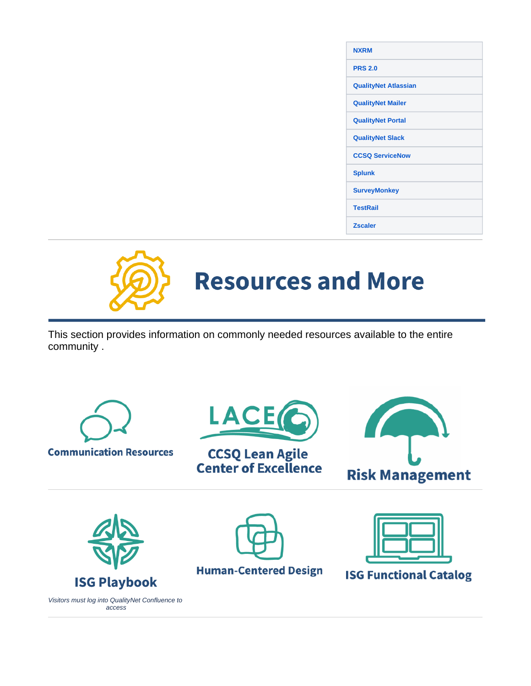| <b>NXRM</b>                 |
|-----------------------------|
| <b>PRS 2.0</b>              |
| <b>QualityNet Atlassian</b> |
| <b>QualityNet Mailer</b>    |
| <b>QualityNet Portal</b>    |
| <b>QualityNet Slack</b>     |
| <b>CCSQ ServiceNow</b>      |
| <b>Splunk</b>               |
| <b>SurveyMonkey</b>         |
| <b>TestRail</b>             |
| <b>Zscaler</b>              |



This section provides information on commonly needed resources available to the entire community .





**Human-Centered Design** 

**ISG Functional Catalog**